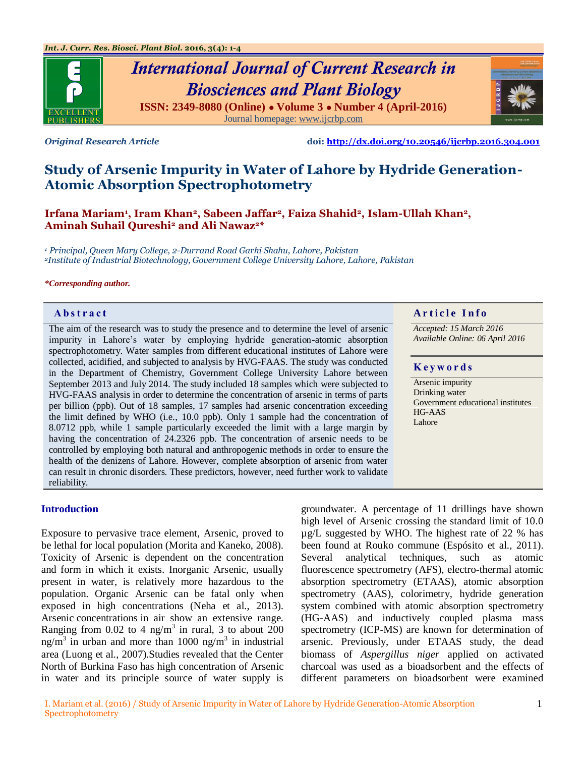

# *International Journal of Current Research in Biosciences and Plant Biology* **ISSN: 2349-8080 (Online) ● Volume 3 ● Number 4 (April-2016)**

Journal homepage[: www.ijcrbp.com](http://www.ijcrbp.com/)



*Original Research Article* **doi:<http://dx.doi.org/10.20546/ijcrbp.2016.304.001>**

## **Study of Arsenic Impurity in Water of Lahore by Hydride Generation-Atomic Absorption Spectrophotometry**

**Irfana Mariam<sup>1</sup> , Iram Khan2, Sabeen Jaffar2, Faiza Shahid2, Islam-Ullah Khan2, Aminah Suhail Qureshi<sup>2</sup> and Ali Nawaz2\***

*<sup>1</sup> Principal, Queen Mary College, 2-Durrand Road Garhi Shahu, Lahore, Pakistan <sup>2</sup>Institute of Industrial Biotechnology, Government College University Lahore, Lahore, Pakistan*

#### *\*Corresponding author.*

The aim of the research was to study the presence and to determine the level of arsenic impurity in Lahore's water by employing hydride generation-atomic absorption spectrophotometry. Water samples from different educational institutes of Lahore were collected, acidified, and subjected to analysis by HVG-FAAS. The study was conducted in the Department of Chemistry, Government College University Lahore between September 2013 and July 2014. The study included 18 samples which were subjected to HVG-FAAS analysis in order to determine the concentration of arsenic in terms of parts per billion (ppb). Out of 18 samples, 17 samples had arsenic concentration exceeding the limit defined by WHO (i.e., 10.0 ppb). Only 1 sample had the concentration of 8.0712 ppb, while 1 sample particularly exceeded the limit with a large margin by having the concentration of 24.2326 ppb. The concentration of arsenic needs to be controlled by employing both natural and anthropogenic methods in order to ensure the health of the denizens of Lahore. However, complete absorption of arsenic from water can result in chronic disorders. These predictors, however, need further work to validate reliability.

#### **Abstract And a result of the Info**  $\alpha$  **Article Info**

*Accepted: 15 March 2016 Available Online: 06 April 2016*

#### **K e y w o r d s**

Arsenic impurity Drinking water Government educational institutes HG-AAS Lahore

#### **Introduction**

Exposure to pervasive trace element, Arsenic, proved to be lethal for local population (Morita and Kaneko, 2008). Toxicity of Arsenic is dependent on the concentration and form in which it exists. Inorganic Arsenic, usually present in water, is relatively more hazardous to the population. Organic Arsenic can be fatal only when exposed in high concentrations (Neha et al., 2013). Arsenic concentrations in air show an extensive range. Ranging from 0.02 to 4 ng/m<sup>3</sup> in rural, 3 to about  $200$ ng/m<sup>3</sup> in urban and more than 1000 ng/m<sup>3</sup> in industrial area (Luong et al., 2007).Studies revealed that the Center North of Burkina Faso has high concentration of Arsenic in water and its principle source of water supply is

groundwater. A percentage of 11 drillings have shown high level of Arsenic crossing the standard limit of 10.0 µg/L suggested by WHO. The highest rate of 22 % has been found at Rouko commune (Espósito et al., 2011). Several analytical techniques, such as atomic fluorescence spectrometry (AFS), electro-thermal atomic absorption spectrometry (ETAAS), atomic absorption spectrometry (AAS), colorimetry, hydride generation system combined with atomic absorption spectrometry (HG-AAS) and inductively coupled plasma mass spectrometry (ICP-MS) are known for determination of arsenic. Previously, under ETAAS study, the dead biomass of *Aspergillus niger* applied on activated charcoal was used as a bioadsorbent and the effects of different parameters on bioadsorbent were examined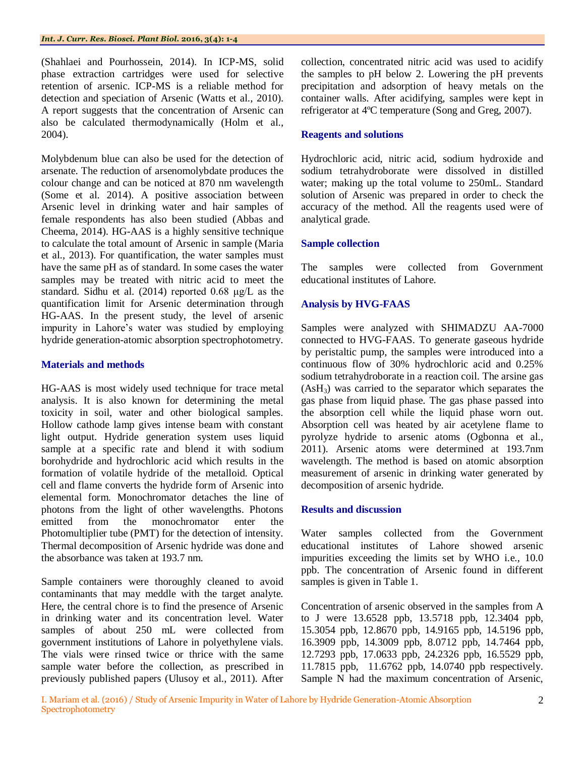(Shahlaei and Pourhossein, 2014). In ICP-MS, solid phase extraction cartridges were used for selective retention of arsenic. ICP-MS is a reliable method for detection and speciation of Arsenic (Watts et al., 2010). A report suggests that the concentration of Arsenic can also be calculated thermodynamically (Holm et al., 2004).

Molybdenum blue can also be used for the detection of arsenate. The reduction of arsenomolybdate produces the colour change and can be noticed at 870 nm wavelength (Some et al. 2014). A positive association between Arsenic level in drinking water and hair samples of female respondents has also been studied (Abbas and Cheema, 2014). HG-AAS is a highly sensitive technique to calculate the total amount of Arsenic in sample (Maria et al., 2013). For quantification, the water samples must have the same pH as of standard. In some cases the water samples may be treated with nitric acid to meet the standard. Sidhu et al. (2014) reported 0.68 μg/L as the quantification limit for Arsenic determination through HG-AAS. In the present study, the level of arsenic impurity in Lahore's water was studied by employing hydride generation-atomic absorption spectrophotometry.

#### **Materials and methods**

HG-AAS is most widely used technique for trace metal analysis. It is also known for determining the metal toxicity in soil, water and other biological samples. Hollow cathode lamp gives intense beam with constant light output. Hydride generation system uses liquid sample at a specific rate and blend it with sodium borohydride and hydrochloric acid which results in the formation of volatile hydride of the metalloid. Optical cell and flame converts the hydride form of Arsenic into elemental form. Monochromator detaches the line of photons from the light of other wavelengths. Photons emitted from the monochromator enter the Photomultiplier tube (PMT) for the detection of intensity. Thermal decomposition of Arsenic hydride was done and the absorbance was taken at 193.7 nm.

Sample containers were thoroughly cleaned to avoid contaminants that may meddle with the target analyte. Here, the central chore is to find the presence of Arsenic in drinking water and its concentration level. Water samples of about 250 mL were collected from government institutions of Lahore in polyethylene vials. The vials were rinsed twice or thrice with the same sample water before the collection, as prescribed in previously published papers (Ulusoy et al., 2011). After

collection, concentrated nitric acid was used to acidify the samples to pH below 2. Lowering the pH prevents precipitation and adsorption of heavy metals on the container walls. After acidifying, samples were kept in refrigerator at 4ºC temperature (Song and Greg, 2007).

#### **Reagents and solutions**

Hydrochloric acid, nitric acid, sodium hydroxide and sodium tetrahydroborate were dissolved in distilled water; making up the total volume to 250mL. Standard solution of Arsenic was prepared in order to check the accuracy of the method. All the reagents used were of analytical grade.

#### **Sample collection**

The samples were collected from Government educational institutes of Lahore.

#### **Analysis by HVG-FAAS**

Samples were analyzed with SHIMADZU AA-7000 connected to HVG-FAAS. To generate gaseous hydride by peristaltic pump, the samples were introduced into a continuous flow of 30% hydrochloric acid and 0.25% sodium tetrahydroborate in a reaction coil. The arsine gas (AsH3) was carried to the separator which separates the gas phase from liquid phase. The gas phase passed into the absorption cell while the liquid phase worn out. Absorption cell was heated by air acetylene flame to pyrolyze hydride to arsenic atoms (Ogbonna et al., 2011). Arsenic atoms were determined at 193.7nm wavelength. The method is based on atomic absorption measurement of arsenic in drinking water generated by decomposition of arsenic hydride.

#### **Results and discussion**

Water samples collected from the Government educational institutes of Lahore showed arsenic impurities exceeding the limits set by WHO i.e., 10.0 ppb. The concentration of Arsenic found in different samples is given in Table 1.

Concentration of arsenic observed in the samples from A to J were 13.6528 ppb, 13.5718 ppb, 12.3404 ppb, 15.3054 ppb, 12.8670 ppb, 14.9165 ppb, 14.5196 ppb, 16.3909 ppb, 14.3009 ppb, 8.0712 ppb, 14.7464 ppb, 12.7293 ppb, 17.0633 ppb, 24.2326 ppb, 16.5529 ppb, 11.7815 ppb, 11.6762 ppb, 14.0740 ppb respectively. Sample N had the maximum concentration of Arsenic,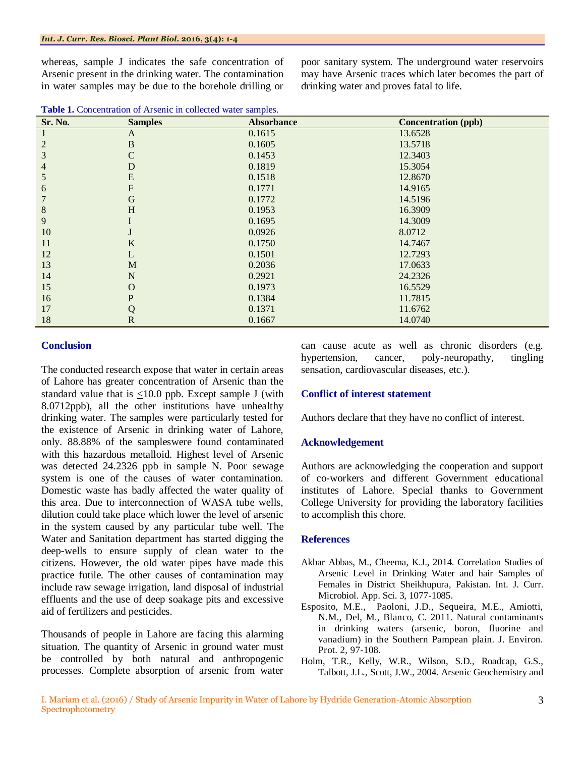whereas, sample J indicates the safe concentration of Arsenic present in the drinking water. The contamination in water samples may be due to the borehole drilling or

poor sanitary system. The underground water reservoirs may have Arsenic traces which later becomes the part of drinking water and proves fatal to life.

| Sr. No. | <b>Samples</b> | <b>Absorbance</b> | <b>Concentration (ppb)</b> |
|---------|----------------|-------------------|----------------------------|
|         | A              | 0.1615            | 13.6528                    |
| 2       | $\, {\bf B}$   | 0.1605            | 13.5718                    |
| 3       | C              | 0.1453            | 12.3403                    |
| 4       | D              | 0.1819            | 15.3054                    |
| 5       | ${\bf E}$      | 0.1518            | 12.8670                    |
| 6       | F              | 0.1771            | 14.9165                    |
|         | G              | 0.1772            | 14.5196                    |
| 8       | H              | 0.1953            | 16.3909                    |
| 9       |                | 0.1695            | 14.3009                    |
| 10      |                | 0.0926            | 8.0712                     |
| 11      | K              | 0.1750            | 14.7467                    |
| 12      | L              | 0.1501            | 12.7293                    |
| 13      | M              | 0.2036            | 17.0633                    |
| 14      | $\mathbf N$    | 0.2921            | 24.2326                    |
| 15      | O              | 0.1973            | 16.5529                    |
| 16      | P              | 0.1384            | 11.7815                    |
| 17      | Q              | 0.1371            | 11.6762                    |
| 18      | $\mathbf R$    | 0.1667            | 14.0740                    |

#### **Conclusion**

The conducted research expose that water in certain areas of Lahore has greater concentration of Arsenic than the standard value that is  $\leq 10.0$  ppb. Except sample J (with 8.0712ppb), all the other institutions have unhealthy drinking water. The samples were particularly tested for the existence of Arsenic in drinking water of Lahore, only. 88.88% of the sampleswere found contaminated with this hazardous metalloid. Highest level of Arsenic was detected 24.2326 ppb in sample N. Poor sewage system is one of the causes of water contamination. Domestic waste has badly affected the water quality of this area. Due to interconnection of WASA tube wells, dilution could take place which lower the level of arsenic in the system caused by any particular tube well. The Water and Sanitation department has started digging the deep-wells to ensure supply of clean water to the citizens. However, the old water pipes have made this practice futile. The other causes of contamination may include raw sewage irrigation, land disposal of industrial effluents and the use of deep soakage pits and excessive aid of fertilizers and pesticides.

Thousands of people in Lahore are facing this alarming situation. The quantity of Arsenic in ground water must be controlled by both natural and anthropogenic processes. Complete absorption of arsenic from water

can cause acute as well as chronic disorders (e.g. hypertension, cancer, poly-neuropathy, tingling sensation, cardiovascular diseases, etc.).

#### **Conflict of interest statement**

Authors declare that they have no conflict of interest.

#### **Acknowledgement**

Authors are acknowledging the cooperation and support of co-workers and different Government educational institutes of Lahore. Special thanks to Government College University for providing the laboratory facilities to accomplish this chore.

#### **References**

- Akbar Abbas, M., Cheema, K.J., 2014. Correlation Studies of Arsenic Level in Drinking Water and hair Samples of Females in District Sheikhupura*,* Pakistan. Int. J. Curr. Microbiol. App. Sci. 3, 1077-1085.
- Esposito, M.E., Paoloni, J.D., Sequeira, M.E., Amiotti, N.M., Del, M., Blanco, C. 2011. Natural contaminants in drinking waters (arsenic, boron, fluorine and vanadium) in the Southern Pampean plain. J. Environ. Prot. 2, 97-108.
- Holm, T.R., Kelly, W.R., Wilson, S.D., Roadcap, G.S., Talbott, J.L., Scott, J.W., 2004. Arsenic Geochemistry and